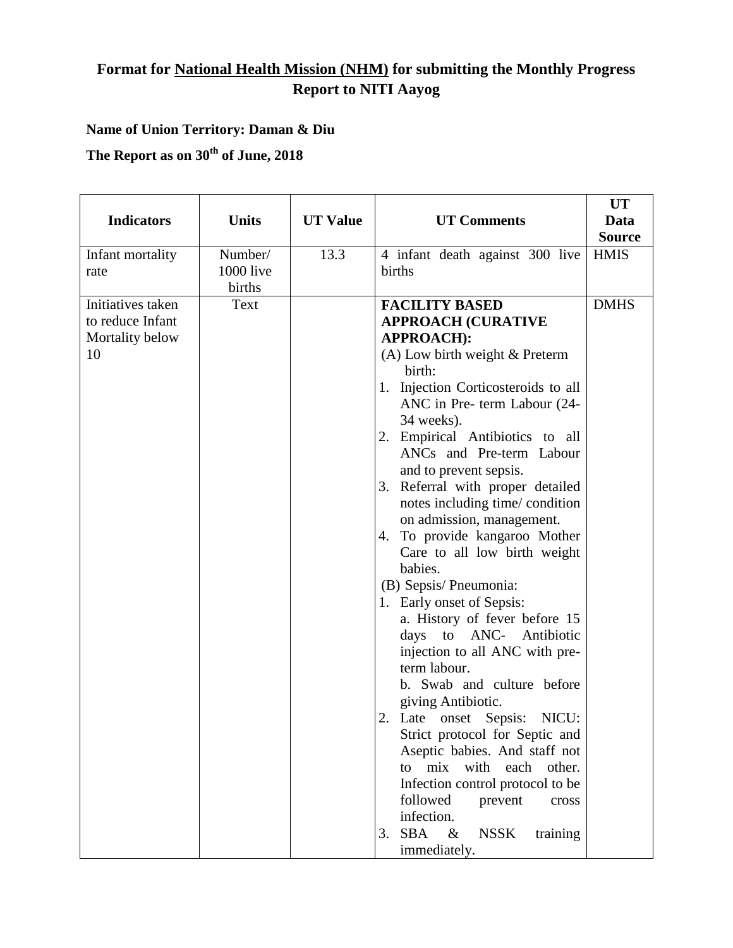## **Format for National Health Mission (NHM) for submitting the Monthly Progress Report to NITI Aayog**

## **Name of Union Territory: Daman & Diu**

**The Report as on 30 th of June, 2018**

| <b>Indicators</b>                                              | <b>Units</b>                          | <b>UT Value</b> | <b>UT Comments</b>                                                                                                                                                                                                                                                                                                                                                                                                                                                                                                                                                                                                                                                                                                                                                                                                                                                                                                                                                                                         | <b>UT</b><br>Data<br><b>Source</b> |
|----------------------------------------------------------------|---------------------------------------|-----------------|------------------------------------------------------------------------------------------------------------------------------------------------------------------------------------------------------------------------------------------------------------------------------------------------------------------------------------------------------------------------------------------------------------------------------------------------------------------------------------------------------------------------------------------------------------------------------------------------------------------------------------------------------------------------------------------------------------------------------------------------------------------------------------------------------------------------------------------------------------------------------------------------------------------------------------------------------------------------------------------------------------|------------------------------------|
| Infant mortality<br>rate                                       | Number/<br><b>1000</b> live<br>births | 13.3            | 4 infant death against 300 live<br>births                                                                                                                                                                                                                                                                                                                                                                                                                                                                                                                                                                                                                                                                                                                                                                                                                                                                                                                                                                  | <b>HMIS</b>                        |
| Initiatives taken<br>to reduce Infant<br>Mortality below<br>10 | Text                                  |                 | <b>FACILITY BASED</b><br><b>APPROACH (CURATIVE</b><br><b>APPROACH):</b><br>(A) Low birth weight & Preterm<br>birth:<br>1. Injection Corticosteroids to all<br>ANC in Pre- term Labour (24-<br>34 weeks).<br>2. Empirical Antibiotics to all<br>ANCs and Pre-term Labour<br>and to prevent sepsis.<br>3. Referral with proper detailed<br>notes including time/condition<br>on admission, management.<br>To provide kangaroo Mother<br>4.<br>Care to all low birth weight<br>babies.<br>(B) Sepsis/Pneumonia:<br>1. Early onset of Sepsis:<br>a. History of fever before 15<br>days to ANC- Antibiotic<br>injection to all ANC with pre-<br>term labour.<br>b. Swab and culture before<br>giving Antibiotic.<br>2. Late onset Sepsis:<br>NICU:<br>Strict protocol for Septic and<br>Aseptic babies. And staff not<br>mix<br>with each other.<br>to<br>Infection control protocol to be<br>followed<br>prevent<br>cross<br>infection.<br><b>SBA</b><br>$\&$<br><b>NSSK</b><br>training<br>3.<br>immediately. | <b>DMHS</b>                        |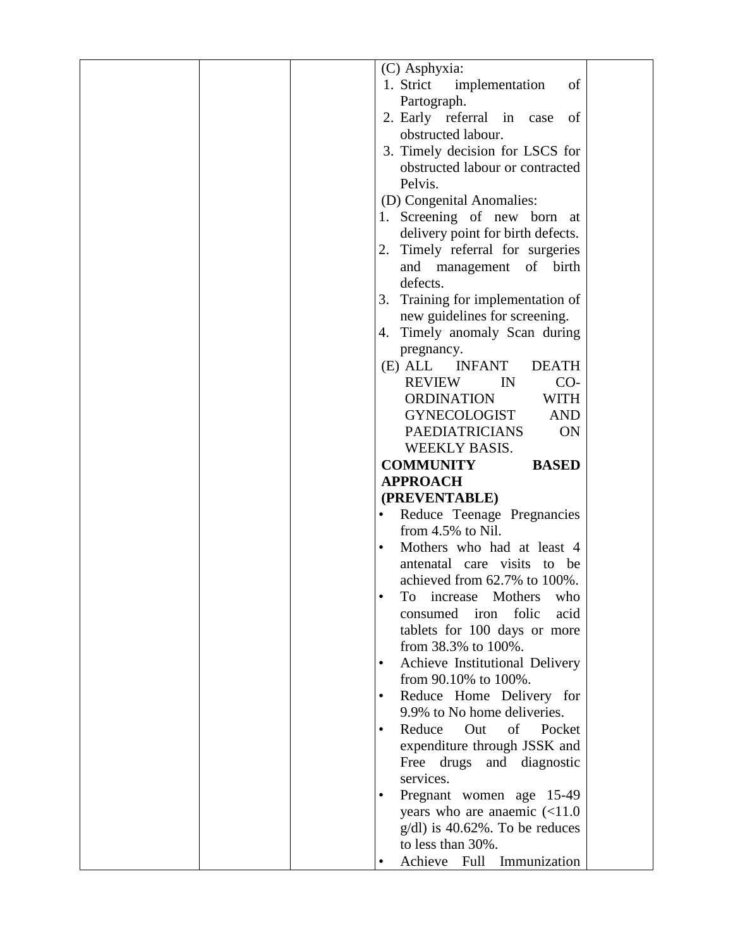|  | (C) Asphyxia:                                  |  |
|--|------------------------------------------------|--|
|  | 1. Strict<br>implementation<br>of              |  |
|  | Partograph.                                    |  |
|  | 2. Early referral in case<br>- of              |  |
|  | obstructed labour.                             |  |
|  | 3. Timely decision for LSCS for                |  |
|  | obstructed labour or contracted                |  |
|  | Pelvis.                                        |  |
|  | (D) Congenital Anomalies:                      |  |
|  |                                                |  |
|  | 1. Screening of new born at                    |  |
|  | delivery point for birth defects.              |  |
|  | Timely referral for surgeries<br>2.            |  |
|  | and management of birth                        |  |
|  | defects.                                       |  |
|  | 3. Training for implementation of              |  |
|  | new guidelines for screening.                  |  |
|  | 4. Timely anomaly Scan during                  |  |
|  | pregnancy.                                     |  |
|  | (E) ALL INFANT<br><b>DEATH</b>                 |  |
|  | $CO-$<br><b>REVIEW</b><br>IN                   |  |
|  | <b>ORDINATION</b><br><b>WITH</b>               |  |
|  | GYNECOLOGIST<br><b>AND</b>                     |  |
|  | <b>PAEDIATRICIANS</b><br><b>ON</b>             |  |
|  | WEEKLY BASIS.                                  |  |
|  |                                                |  |
|  |                                                |  |
|  | <b>COMMUNITY</b><br><b>BASED</b>               |  |
|  | <b>APPROACH</b>                                |  |
|  | (PREVENTABLE)                                  |  |
|  | Reduce Teenage Pregnancies                     |  |
|  | from 4.5% to Nil.                              |  |
|  | Mothers who had at least 4<br>$\bullet$        |  |
|  | antenatal care visits to be                    |  |
|  | achieved from 62.7% to 100%.                   |  |
|  | To<br>Mothers<br>increase<br>who               |  |
|  | folic<br>consumed<br>iron<br>acid              |  |
|  | tablets for 100 days or more                   |  |
|  | from 38.3% to 100%.                            |  |
|  | Achieve Institutional Delivery<br>$\bullet$    |  |
|  | from 90.10% to 100%.                           |  |
|  | Reduce Home Delivery for                       |  |
|  | 9.9% to No home deliveries.                    |  |
|  | Reduce Out of Pocket<br>$\bullet$              |  |
|  |                                                |  |
|  | expenditure through JSSK and                   |  |
|  | Free drugs and diagnostic<br>services.         |  |
|  |                                                |  |
|  | Pregnant women age 15-49                       |  |
|  | years who are anaemic $\left( < 11.0 \right)$  |  |
|  | $g/dl$ ) is 40.62%. To be reduces              |  |
|  | to less than 30%.<br>Achieve Full Immunization |  |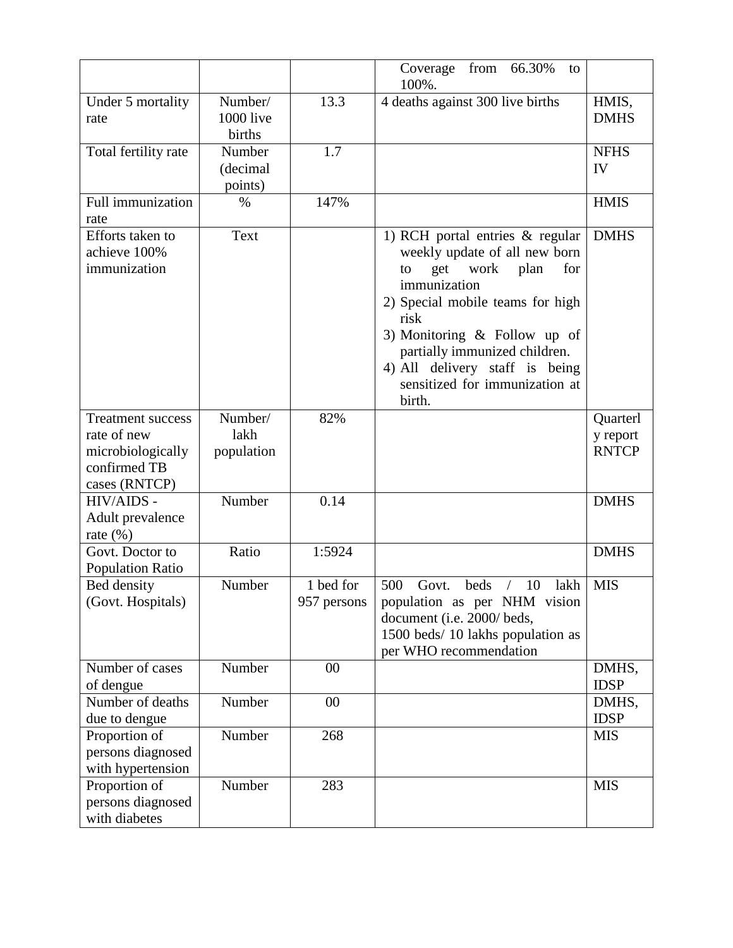|                                                                                               |                                |                          | 66.30%<br>from<br>Coverage<br>to<br>100%.                                                                                                                                                                                                                                                                          |                                      |
|-----------------------------------------------------------------------------------------------|--------------------------------|--------------------------|--------------------------------------------------------------------------------------------------------------------------------------------------------------------------------------------------------------------------------------------------------------------------------------------------------------------|--------------------------------------|
| Under 5 mortality<br>rate                                                                     | Number/<br>1000 live<br>births | 13.3                     | 4 deaths against 300 live births                                                                                                                                                                                                                                                                                   | HMIS,<br><b>DMHS</b>                 |
| Total fertility rate                                                                          | Number<br>(decimal<br>points)  | 1.7                      |                                                                                                                                                                                                                                                                                                                    | <b>NFHS</b><br>IV                    |
| Full immunization<br>rate                                                                     | $\%$                           | 147%                     |                                                                                                                                                                                                                                                                                                                    | <b>HMIS</b>                          |
| Efforts taken to<br>achieve 100%<br>immunization                                              | Text                           |                          | 1) RCH portal entries $\&$ regular<br>weekly update of all new born<br>get work<br>for<br>plan<br>to<br>immunization<br>2) Special mobile teams for high<br>risk<br>3) Monitoring $\&$ Follow up of<br>partially immunized children.<br>4) All delivery staff is being<br>sensitized for immunization at<br>birth. | <b>DMHS</b>                          |
| <b>Treatment success</b><br>rate of new<br>microbiologically<br>confirmed TB<br>cases (RNTCP) | Number/<br>lakh<br>population  | 82%                      |                                                                                                                                                                                                                                                                                                                    | Quarterl<br>y report<br><b>RNTCP</b> |
| HIV/AIDS -<br>Adult prevalence<br>rate $(\%)$                                                 | Number                         | 0.14                     |                                                                                                                                                                                                                                                                                                                    | <b>DMHS</b>                          |
| Govt. Doctor to<br>Population Ratio                                                           | Ratio                          | 1:5924                   |                                                                                                                                                                                                                                                                                                                    | <b>DMHS</b>                          |
| Bed density<br>(Govt. Hospitals)                                                              | Number                         | 1 bed for<br>957 persons | 500<br>10<br>Govt.<br>beds<br>lakh<br>$\sqrt{2}$<br>population as per NHM vision<br>document (i.e. 2000/ beds,<br>1500 beds/ 10 lakhs population as<br>per WHO recommendation                                                                                                                                      | <b>MIS</b>                           |
| Number of cases<br>of dengue                                                                  | Number                         | 00                       |                                                                                                                                                                                                                                                                                                                    | DMHS,<br><b>IDSP</b>                 |
| Number of deaths<br>due to dengue                                                             | Number                         | $00\,$                   |                                                                                                                                                                                                                                                                                                                    | DMHS,<br><b>IDSP</b>                 |
| Proportion of<br>persons diagnosed<br>with hypertension                                       | Number                         | 268                      |                                                                                                                                                                                                                                                                                                                    | <b>MIS</b>                           |
| Proportion of<br>persons diagnosed<br>with diabetes                                           | Number                         | 283                      |                                                                                                                                                                                                                                                                                                                    | <b>MIS</b>                           |